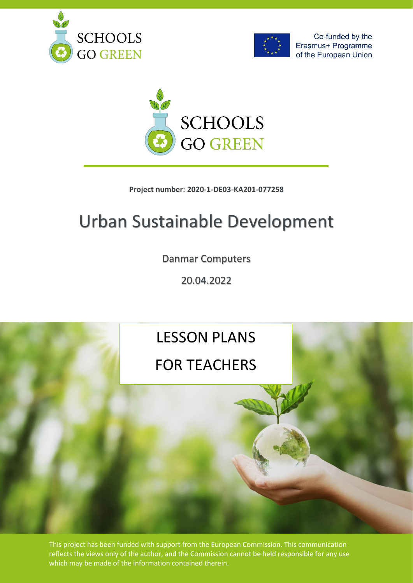





### **Project number: 2020-1-DE03-KA201-077258**

# Urban Sustainable Development

Danmar Computers

20.04.2022

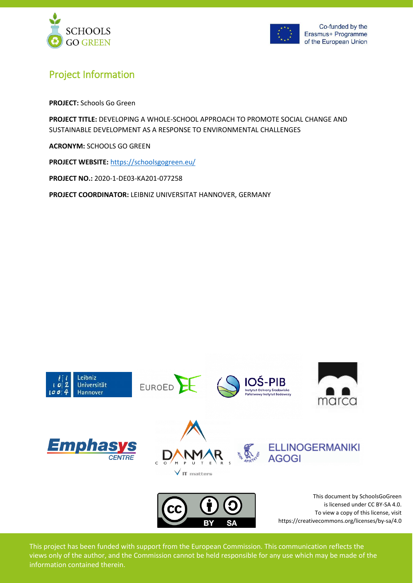



### Project Information

**PROJECT:** Schools Go Green

**PROJECT TITLE:** DEVELOPING A WHOLE-SCHOOL APPROACH TO PROMOTE SOCIAL CHANGE AND SUSTAINABLE DEVELOPMENT AS A RESPONSE TO ENVIRONMENTAL CHALLENGES

**ACRONYM:** SCHOOLS GO GREEN

**PROJECT WEBSITE:** <https://schoolsgogreen.eu/>

**PROJECT NO.:** 2020-1-DE03-KA201-077258

**PROJECT COORDINATOR:** LEIBNIZ UNIVERSITAT HANNOVER, GERMANY

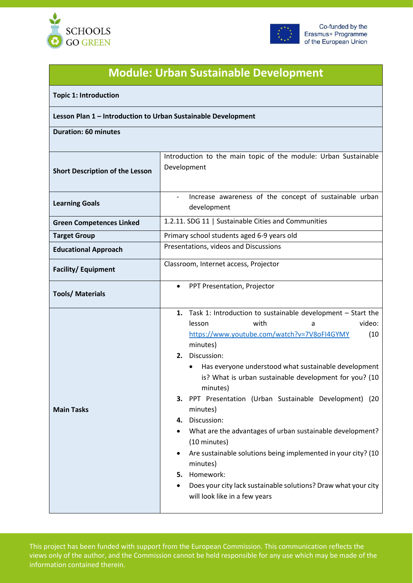



## **Module: Urban Sustainable Development**

#### **Topic 1: Introduction**

#### **Lesson Plan 1 – Introduction to Urban Sustainable Development**

**Duration: 60 minutes**

| <b>Short Description of the Lesson</b> | Introduction to the main topic of the module: Urban Sustainable<br>Development                                                                                                                                                                                                                                                                                                                                                                                                                                                                                                                                                                                                                              |
|----------------------------------------|-------------------------------------------------------------------------------------------------------------------------------------------------------------------------------------------------------------------------------------------------------------------------------------------------------------------------------------------------------------------------------------------------------------------------------------------------------------------------------------------------------------------------------------------------------------------------------------------------------------------------------------------------------------------------------------------------------------|
| <b>Learning Goals</b>                  | Increase awareness of the concept of sustainable urban<br>development                                                                                                                                                                                                                                                                                                                                                                                                                                                                                                                                                                                                                                       |
| <b>Green Competences Linked</b>        | 1.2.11. SDG 11   Sustainable Cities and Communities                                                                                                                                                                                                                                                                                                                                                                                                                                                                                                                                                                                                                                                         |
| <b>Target Group</b>                    | Primary school students aged 6-9 years old                                                                                                                                                                                                                                                                                                                                                                                                                                                                                                                                                                                                                                                                  |
| <b>Educational Approach</b>            | Presentations, videos and Discussions                                                                                                                                                                                                                                                                                                                                                                                                                                                                                                                                                                                                                                                                       |
| <b>Facility/Equipment</b>              | Classroom, Internet access, Projector                                                                                                                                                                                                                                                                                                                                                                                                                                                                                                                                                                                                                                                                       |
| <b>Tools/Materials</b>                 | PPT Presentation, Projector<br>$\bullet$                                                                                                                                                                                                                                                                                                                                                                                                                                                                                                                                                                                                                                                                    |
| <b>Main Tasks</b>                      | Task 1: Introduction to sustainable development - Start the<br>1.<br>video:<br>with<br>lesson<br>a<br>https://www.youtube.com/watch?v=7V8oFI4GYMY<br>(10)<br>minutes)<br>2. Discussion:<br>Has everyone understood what sustainable development<br>$\bullet$<br>is? What is urban sustainable development for you? (10<br>minutes)<br>3. PPT Presentation (Urban Sustainable Development) (20<br>minutes)<br>4. Discussion:<br>What are the advantages of urban sustainable development?<br>(10 minutes)<br>Are sustainable solutions being implemented in your city? (10<br>minutes)<br>Homework:<br>5.<br>Does your city lack sustainable solutions? Draw what your city<br>will look like in a few years |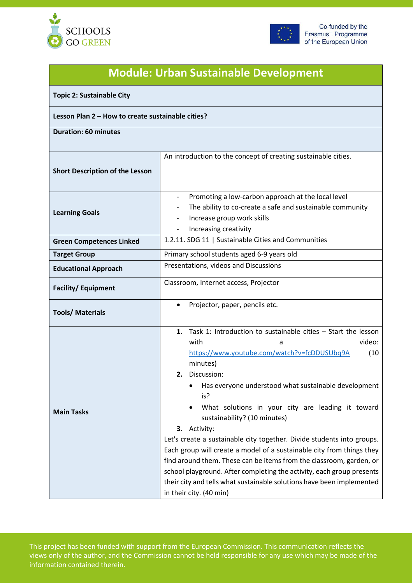



## **Module: Urban Sustainable Development**

**Topic 2: Sustainable City**

#### **Lesson Plan 2 – How to create sustainable cities?**

**Duration: 60 minutes**

| <b>Short Description of the Lesson</b> | An introduction to the concept of creating sustainable cities.                                                                                                                                                                                                                                                                                                                                                                                                                                                                                                                                                                                                                                                                                             |
|----------------------------------------|------------------------------------------------------------------------------------------------------------------------------------------------------------------------------------------------------------------------------------------------------------------------------------------------------------------------------------------------------------------------------------------------------------------------------------------------------------------------------------------------------------------------------------------------------------------------------------------------------------------------------------------------------------------------------------------------------------------------------------------------------------|
| <b>Learning Goals</b>                  | Promoting a low-carbon approach at the local level<br>The ability to co-create a safe and sustainable community<br>Increase group work skills<br>Increasing creativity                                                                                                                                                                                                                                                                                                                                                                                                                                                                                                                                                                                     |
| <b>Green Competences Linked</b>        | 1.2.11. SDG 11   Sustainable Cities and Communities                                                                                                                                                                                                                                                                                                                                                                                                                                                                                                                                                                                                                                                                                                        |
| <b>Target Group</b>                    | Primary school students aged 6-9 years old                                                                                                                                                                                                                                                                                                                                                                                                                                                                                                                                                                                                                                                                                                                 |
| <b>Educational Approach</b>            | Presentations, videos and Discussions                                                                                                                                                                                                                                                                                                                                                                                                                                                                                                                                                                                                                                                                                                                      |
| <b>Facility/Equipment</b>              | Classroom, Internet access, Projector                                                                                                                                                                                                                                                                                                                                                                                                                                                                                                                                                                                                                                                                                                                      |
| <b>Tools/ Materials</b>                | Projector, paper, pencils etc.                                                                                                                                                                                                                                                                                                                                                                                                                                                                                                                                                                                                                                                                                                                             |
| <b>Main Tasks</b>                      | Task 1: Introduction to sustainable cities - Start the lesson<br>1.<br>with<br>video:<br>a<br>https://www.youtube.com/watch?v=fcDDUSUbq9A<br>(10)<br>minutes)<br>2. Discussion:<br>Has everyone understood what sustainable development<br>is?<br>What solutions in your city are leading it toward<br>sustainability? (10 minutes)<br>3. Activity:<br>Let's create a sustainable city together. Divide students into groups.<br>Each group will create a model of a sustainable city from things they<br>find around them. These can be items from the classroom, garden, or<br>school playground. After completing the activity, each group presents<br>their city and tells what sustainable solutions have been implemented<br>in their city. (40 min) |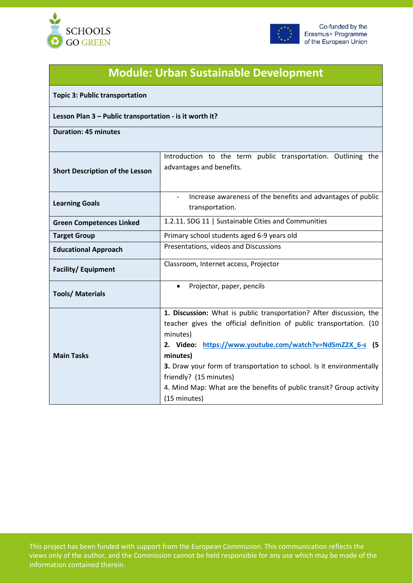



# **Module: Urban Sustainable Development**

**Topic 3: Public transportation**

### **Lesson Plan 3 – Public transportation - is it worth it?**

**Duration: 45 minutes**

| <b>Short Description of the Lesson</b> | Introduction to the term public transportation. Outlining the<br>advantages and benefits. |
|----------------------------------------|-------------------------------------------------------------------------------------------|
|                                        |                                                                                           |
| <b>Learning Goals</b>                  | Increase awareness of the benefits and advantages of public<br>transportation.            |
| <b>Green Competences Linked</b>        | 1.2.11. SDG 11   Sustainable Cities and Communities                                       |
| <b>Target Group</b>                    | Primary school students aged 6-9 years old                                                |
| <b>Educational Approach</b>            | Presentations, videos and Discussions                                                     |
| <b>Facility/Equipment</b>              | Classroom, Internet access, Projector                                                     |
| <b>Tools/ Materials</b>                | Projector, paper, pencils<br>$\bullet$                                                    |
|                                        | 1. Discussion: What is public transportation? After discussion, the                       |
|                                        | teacher gives the official definition of public transportation. (10                       |
|                                        | minutes)                                                                                  |
|                                        | 2. Video: https://www.youtube.com/watch?v=NdSmZ2X 6-s (5                                  |
| <b>Main Tasks</b>                      | minutes)                                                                                  |
|                                        | 3. Draw your form of transportation to school. Is it environmentally                      |
|                                        | friendly? (15 minutes)                                                                    |
|                                        | 4. Mind Map: What are the benefits of public transit? Group activity                      |
|                                        | (15 minutes)                                                                              |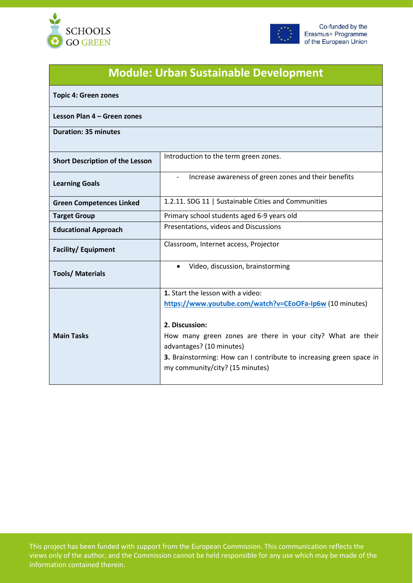



| <b>Module: Urban Sustainable Development</b> |                                                                                                                                                                       |  |
|----------------------------------------------|-----------------------------------------------------------------------------------------------------------------------------------------------------------------------|--|
| <b>Topic 4: Green zones</b>                  |                                                                                                                                                                       |  |
| Lesson Plan 4 – Green zones                  |                                                                                                                                                                       |  |
| <b>Duration: 35 minutes</b>                  |                                                                                                                                                                       |  |
| <b>Short Description of the Lesson</b>       | Introduction to the term green zones.                                                                                                                                 |  |
| <b>Learning Goals</b>                        | Increase awareness of green zones and their benefits                                                                                                                  |  |
| <b>Green Competences Linked</b>              | 1.2.11. SDG 11   Sustainable Cities and Communities                                                                                                                   |  |
| <b>Target Group</b>                          | Primary school students aged 6-9 years old                                                                                                                            |  |
| <b>Educational Approach</b>                  | Presentations, videos and Discussions                                                                                                                                 |  |
| <b>Facility/Equipment</b>                    | Classroom, Internet access, Projector                                                                                                                                 |  |
| <b>Tools/ Materials</b>                      | Video, discussion, brainstorming                                                                                                                                      |  |
|                                              | 1. Start the lesson with a video:                                                                                                                                     |  |
| <b>Main Tasks</b>                            | https://www.youtube.com/watch?v=CEoOFa-Ip6w (10 minutes)<br>2. Discussion:<br>How many green zones are there in your city? What are their<br>advantages? (10 minutes) |  |
|                                              | 3. Brainstorming: How can I contribute to increasing green space in<br>my community/city? (15 minutes)                                                                |  |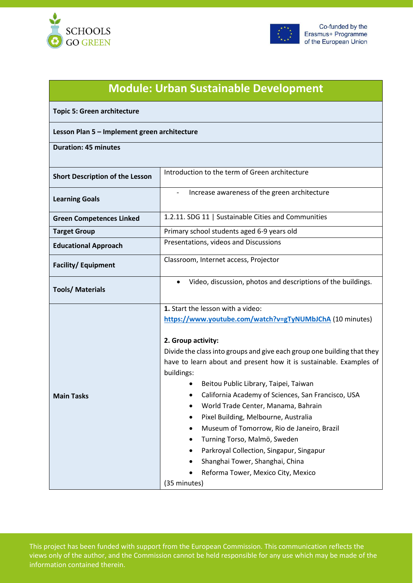



| <b>Module: Urban Sustainable Development</b> |                                                                                                                                                                                                                                                                                                                                                                                                                                                                                                                                                                                                                                                                                                       |
|----------------------------------------------|-------------------------------------------------------------------------------------------------------------------------------------------------------------------------------------------------------------------------------------------------------------------------------------------------------------------------------------------------------------------------------------------------------------------------------------------------------------------------------------------------------------------------------------------------------------------------------------------------------------------------------------------------------------------------------------------------------|
| <b>Topic 5: Green architecture</b>           |                                                                                                                                                                                                                                                                                                                                                                                                                                                                                                                                                                                                                                                                                                       |
| Lesson Plan 5 - Implement green architecture |                                                                                                                                                                                                                                                                                                                                                                                                                                                                                                                                                                                                                                                                                                       |
| <b>Duration: 45 minutes</b>                  |                                                                                                                                                                                                                                                                                                                                                                                                                                                                                                                                                                                                                                                                                                       |
| <b>Short Description of the Lesson</b>       | Introduction to the term of Green architecture                                                                                                                                                                                                                                                                                                                                                                                                                                                                                                                                                                                                                                                        |
| <b>Learning Goals</b>                        | Increase awareness of the green architecture                                                                                                                                                                                                                                                                                                                                                                                                                                                                                                                                                                                                                                                          |
| <b>Green Competences Linked</b>              | 1.2.11. SDG 11   Sustainable Cities and Communities                                                                                                                                                                                                                                                                                                                                                                                                                                                                                                                                                                                                                                                   |
| <b>Target Group</b>                          | Primary school students aged 6-9 years old                                                                                                                                                                                                                                                                                                                                                                                                                                                                                                                                                                                                                                                            |
| <b>Educational Approach</b>                  | Presentations, videos and Discussions                                                                                                                                                                                                                                                                                                                                                                                                                                                                                                                                                                                                                                                                 |
| <b>Facility/Equipment</b>                    | Classroom, Internet access, Projector                                                                                                                                                                                                                                                                                                                                                                                                                                                                                                                                                                                                                                                                 |
| <b>Tools/ Materials</b>                      | Video, discussion, photos and descriptions of the buildings.<br>$\bullet$                                                                                                                                                                                                                                                                                                                                                                                                                                                                                                                                                                                                                             |
| <b>Main Tasks</b>                            | 1. Start the lesson with a video:<br>https://www.youtube.com/watch?v=gTyNUMbJChA (10 minutes)<br>2. Group activity:<br>Divide the class into groups and give each group one building that they<br>have to learn about and present how it is sustainable. Examples of<br>buildings:<br>Beitou Public Library, Taipei, Taiwan<br>California Academy of Sciences, San Francisco, USA<br>٠<br>World Trade Center, Manama, Bahrain<br>Pixel Building, Melbourne, Australia<br>Museum of Tomorrow, Rio de Janeiro, Brazil<br>$\bullet$<br>Turning Torso, Malmö, Sweden<br>Parkroyal Collection, Singapur, Singapur<br>Shanghai Tower, Shanghai, China<br>Reforma Tower, Mexico City, Mexico<br>(35 minutes) |